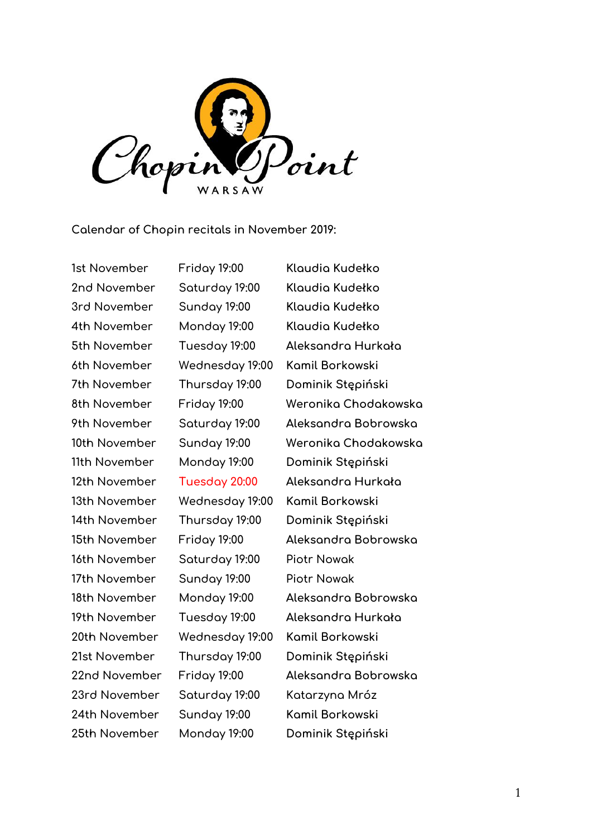

**Calendar of Chopin recitals in November 2019:**

**2nd November Saturday 19:00 Klaudia Kudełko 3rd November Sunday 19:00 Klaudia Kudełko 4th November Monday 19:00 Klaudia Kudełko 6th November Wednesday 19:00 Kamil Borkowski 13th November Wednesday 19:00 Kamil Borkowski 16th November Saturday 19:00 Piotr Nowak 17th November Sunday 19:00 Piotr Nowak 20th November Wednesday 19:00 Kamil Borkowski 23rd November Saturday 19:00 Katarzyna Mróz 24th November Sunday 19:00 Kamil Borkowski 25th November Monday 19:00 Dominik Stępiński**

**1st November Friday 19:00 Klaudia Kudełko 5th November Tuesday 19:00 Aleksandra Hurkała 7th November Thursday 19:00 Dominik Stępiński 8th November Friday 19:00 Weronika Chodakowska 9th November Saturday 19:00 Aleksandra Bobrowska 10th November Sunday 19:00 Weronika Chodakowska 11th November Monday 19:00 Dominik Stępiński 12th November Tuesday 20:00 Aleksandra Hurkała 14th November Thursday 19:00 Dominik Stępiński 15th November Friday 19:00 Aleksandra Bobrowska 18th November Monday 19:00 Aleksandra Bobrowska 19th November Tuesday 19:00 Aleksandra Hurkała 21st November Thursday 19:00 Dominik Stępiński 22nd November Friday 19:00 Aleksandra Bobrowska**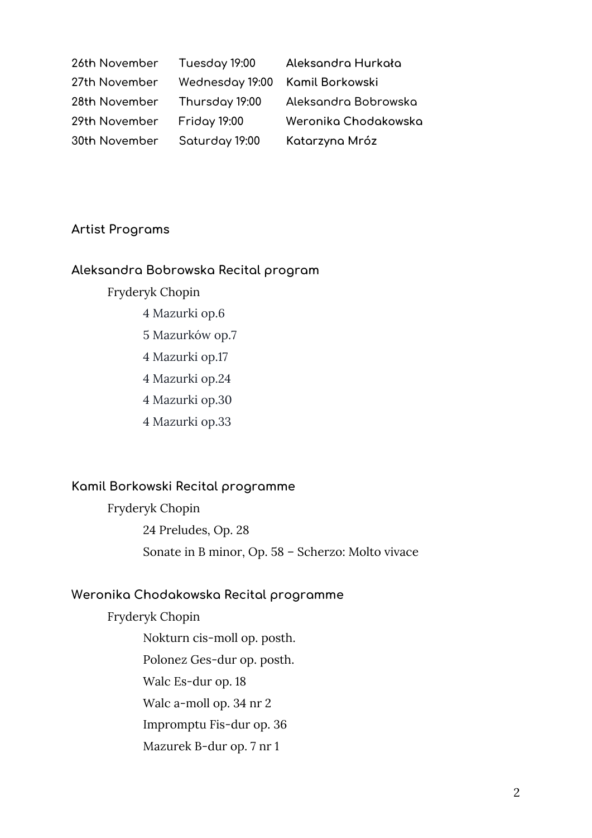| 26th November | Tuesday 19:00                   | Aleksandra Hurkała   |
|---------------|---------------------------------|----------------------|
| 27th November | Wednesday 19:00 Kamil Borkowski |                      |
| 28th November | Thursday 19:00                  | Aleksandra Bobrowska |
| 29th November | <b>Friday 19:00</b>             | Weronika Chodakowska |
| 30th November | Saturday 19:00                  | Katarzyna Mróz       |

## **Artist Programs**

## **Aleksandra Bobrowska Recital program**

- Fryderyk Chopin
	- 4 Mazurki op.6
	- 5 Mazurków op.7
	- 4 Mazurki op.17
	- 4 Mazurki op.24
	- 4 Mazurki op.30
	- 4 Mazurki op.33

## **Kamil Borkowski Recital programme**

Fryderyk Chopin 24 Preludes, Op. 28 Sonate in B minor, Op. 58 – Scherzo: Molto vivace

# **Weronika Chodakowska Recital programme**

Fryderyk Chopin Nokturn cis-moll op. posth. Polonez Ges-dur op. posth. Walc Es-dur op. 18 Walc a-moll op. 34 nr 2 Impromptu Fis-dur op. 36 Mazurek B-dur op. 7 nr 1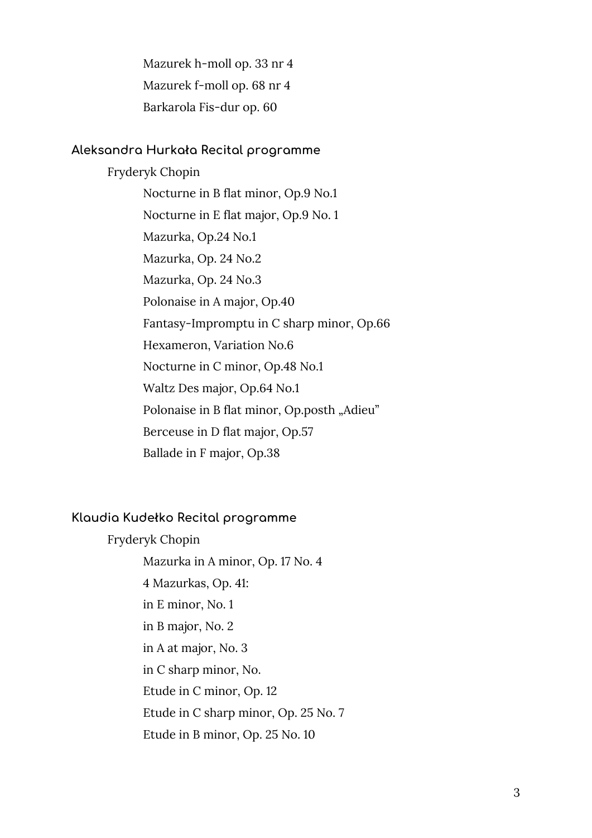Mazurek h-moll op. 33 nr 4 Mazurek f-moll op. 68 nr 4 Barkarola Fis-dur op. 60

#### **Aleksandra Hurkała Recital programme**

Fryderyk Chopin Nocturne in B flat minor, Op.9 No.1 Nocturne in E flat major, Op.9 No. 1 Mazurka, Op.24 No.1 Mazurka, Op. 24 No.2 Mazurka, Op. 24 No.3 Polonaise in A major, Op.40 Fantasy-Impromptu in C sharp minor, Op.66 Hexameron, Variation No.6 Nocturne in C minor, Op.48 No.1 Waltz Des major, Op.64 No.1 Polonaise in B flat minor, Op.posth "Adieu" Berceuse in D flat major, Op.57 Ballade in F major, Op.38

## **Klaudia Kudełko Recital programme**

Fryderyk Chopin Mazurka in A minor, Op. 17 No. 4 4 Mazurkas, Op. 41: in E minor, No. 1 in B major, No. 2 in A at major, No. 3 in C sharp minor, No. Etude in C minor, Op. 12 Etude in C sharp minor, Op. 25 No. 7 Etude in B minor, Op. 25 No. 10